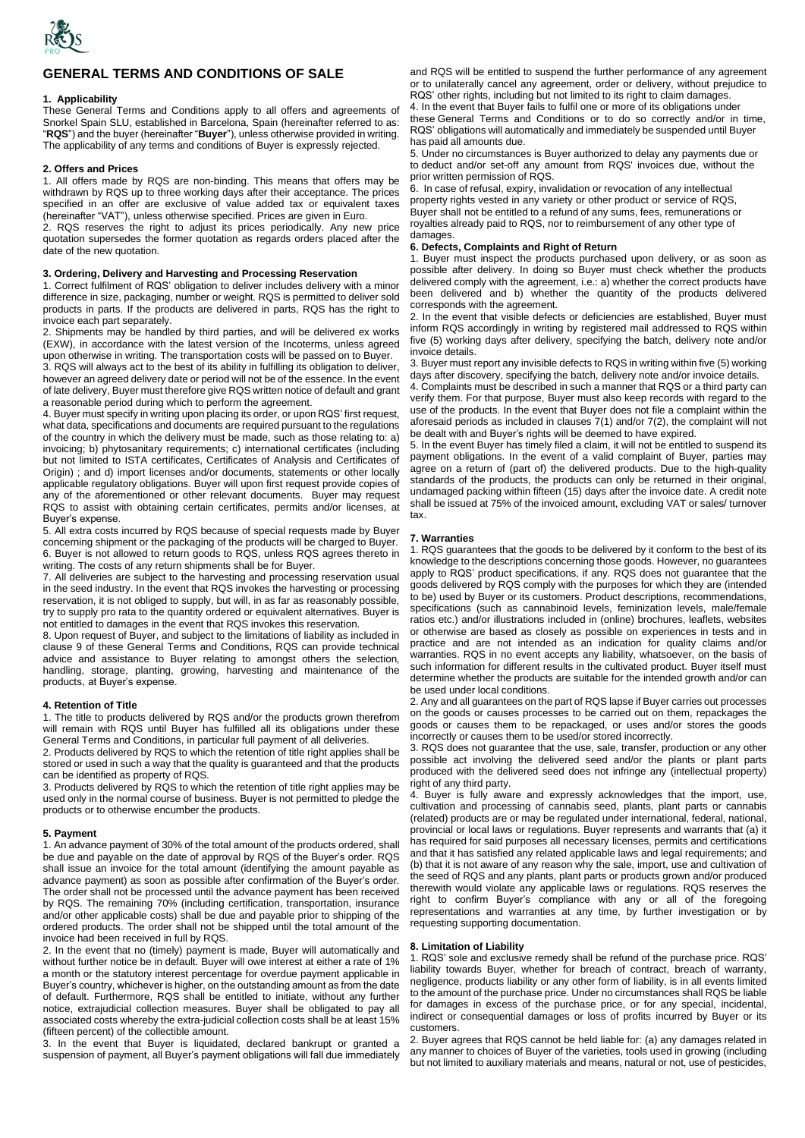

# **GENERAL TERMS AND CONDITIONS OF SALE**

### **1. Applicability**

These General Terms and Conditions apply to all offers and agreements of Snorkel Spain SLU, established in Barcelona, Spain (hereinafter referred to as: "**RQS**") and the buyer (hereinafter "**Buyer**"), unless otherwise provided in writing. The applicability of any terms and conditions of Buyer is expressly rejected.

### **2. Offers and Prices**

1. All offers made by RQS are non-binding. This means that offers may be withdrawn by RQS up to three working days after their acceptance. The prices specified in an offer are exclusive of value added tax or equivalent taxes (hereinafter "VAT"), unless otherwise specified. Prices are given in Euro.

2. RQS reserves the right to adjust its prices periodically. Any new price quotation supersedes the former quotation as regards orders placed after the date of the new quotation.

# **3. Ordering, Delivery and Harvesting and Processing Reservation**

1. Correct fulfilment of RQS' obligation to deliver includes delivery with a minor difference in size, packaging, number or weight. RQS is permitted to deliver sold products in parts. If the products are delivered in parts, RQS has the right to invoice each part separately.

2. Shipments may be handled by third parties, and will be delivered ex works (EXW), in accordance with the latest version of the Incoterms, unless agreed upon otherwise in writing. The transportation costs will be passed on to Buyer.

3. RQS will always act to the best of its ability in fulfilling its obligation to deliver, however an agreed delivery date or period will not be of the essence. In the event of late delivery, Buyer must therefore give RQS written notice of default and grant a reasonable period during which to perform the agreement.

4. Buyer must specify in writing upon placing its order, or upon RQS' first request, what data, specifications and documents are required pursuant to the regulations of the country in which the delivery must be made, such as those relating to: a) invoicing; b) phytosanitary requirements; c) international certificates (including but not limited to ISTA certificates, Certificates of Analysis and Certificates of Origin) ; and d) import licenses and/or documents, statements or other locally applicable regulatory obligations. Buyer will upon first request provide copies of any of the aforementioned or other relevant documents. Buyer may request RQS to assist with obtaining certain certificates, permits and/or licenses, at Buyer's expense.

5. All extra costs incurred by RQS because of special requests made by Buyer concerning shipment or the packaging of the products will be charged to Buyer. 6. Buyer is not allowed to return goods to RQS, unless RQS agrees thereto in writing. The costs of any return shipments shall be for Buyer.

7. All deliveries are subject to the harvesting and processing reservation usual in the seed industry. In the event that RQS invokes the harvesting or processing reservation, it is not obliged to supply, but will, in as far as reasonably possible, try to supply pro rata to the quantity ordered or equivalent alternatives. Buyer is not entitled to damages in the event that RQS invokes this reservation.

8. Upon request of Buyer, and subject to the limitations of liability as included in clause 9 of these General Terms and Conditions, RQS can provide technical advice and assistance to Buyer relating to amongst others the selection, handling, storage, planting, growing, harvesting and maintenance of the products, at Buyer's expense.

## **4. Retention of Title**

1. The title to products delivered by RQS and/or the products grown therefrom will remain with RQS until Buyer has fulfilled all its obligations under these General Terms and Conditions, in particular full payment of all deliveries.

2. Products delivered by RQS to which the retention of title right applies shall be stored or used in such a way that the quality is guaranteed and that the products can be identified as property of RQS.

3. Products delivered by RQS to which the retention of title right applies may be used only in the normal course of business. Buyer is not permitted to pledge the products or to otherwise encumber the products.

#### **5. Payment**

1. An advance payment of 30% of the total amount of the products ordered, shall be due and payable on the date of approval by RQS of the Buyer's order. RQS shall issue an invoice for the total amount (identifying the amount payable as advance payment) as soon as possible after confirmation of the Buyer's order. The order shall not be processed until the advance payment has been received by RQS. The remaining 70% (including certification, transportation, insurance and/or other applicable costs) shall be due and payable prior to shipping of the ordered products. The order shall not be shipped until the total amount of the invoice had been received in full by RQS.

2. In the event that no (timely) payment is made, Buyer will automatically and without further notice be in default. Buyer will owe interest at either a rate of 1% a month or the statutory interest percentage for overdue payment applicable in Buyer's country, whichever is higher, on the outstanding amount as from the date of default. Furthermore, RQS shall be entitled to initiate, without any further notice, extrajudicial collection measures. Buyer shall be obligated to pay all associated costs whereby the extra-judicial collection costs shall be at least 15% (fifteen percent) of the collectible amount.

3. In the event that Buyer is liquidated, declared bankrupt or granted a suspension of payment, all Buyer's payment obligations will fall due immediately and RQS will be entitled to suspend the further performance of any agreement or to unilaterally cancel any agreement, order or delivery, without prejudice to RQS' other rights, including but not limited to its right to claim damages. 4. In the event that Buyer fails to fulfil one or more of its obligations under these General Terms and Conditions or to do so correctly and/or in time, RQS' obligations will automatically and immediately be suspended until Buyer

has paid all amounts due. 5. Under no circumstances is Buyer authorized to delay any payments due or to deduct and/or set-off any amount from RQS' invoices due, without the prior written permission of RQS.

6. In case of refusal, expiry, invalidation or revocation of any intellectual property rights vested in any variety or other product or service of RQS, Buyer shall not be entitled to a refund of any sums, fees, remunerations or royalties already paid to RQS, nor to reimbursement of any other type of damages

## **6. Defects, Complaints and Right of Return**

1. Buyer must inspect the products purchased upon delivery, or as soon as possible after delivery. In doing so Buyer must check whether the products delivered comply with the agreement, i.e.: a) whether the correct products have been delivered and b) whether the quantity of the products delivered corresponds with the agreement.

2. In the event that visible defects or deficiencies are established, Buyer must inform RQS accordingly in writing by registered mail addressed to RQS within five (5) working days after delivery, specifying the batch, delivery note and/or invoice details.

3. Buyer must report any invisible defects to RQS in writing within five (5) working days after discovery, specifying the batch, delivery note and/or invoice details.

4. Complaints must be described in such a manner that RQS or a third party can verify them. For that purpose, Buyer must also keep records with regard to the use of the products. In the event that Buyer does not file a complaint within the aforesaid periods as included in clauses 7(1) and/or 7(2), the complaint will not be dealt with and Buyer's rights will be deemed to have expired.

5. In the event Buyer has timely filed a claim, it will not be entitled to suspend its payment obligations. In the event of a valid complaint of Buyer, parties may agree on a return of (part of) the delivered products. Due to the high-quality standards of the products, the products can only be returned in their original, undamaged packing within fifteen (15) days after the invoice date. A credit note shall be issued at 75% of the invoiced amount, excluding VAT or sales/ turnover tax.

## **7. Warranties**

1. RQS guarantees that the goods to be delivered by it conform to the best of its knowledge to the descriptions concerning those goods. However, no guarantees apply to RQS' product specifications, if any. RQS does not guarantee that the goods delivered by RQS comply with the purposes for which they are (intended to be) used by Buyer or its customers. Product descriptions, recommendations, specifications (such as cannabinoid levels, feminization levels, male/female ratios etc.) and/or illustrations included in (online) brochures, leaflets, websites or otherwise are based as closely as possible on experiences in tests and in practice and are not intended as an indication for quality claims and/or warranties. RQS in no event accepts any liability, whatsoever, on the basis of such information for different results in the cultivated product. Buyer itself must determine whether the products are suitable for the intended growth and/or can be used under local conditions.

2. Any and all guarantees on the part of RQS lapse if Buyer carries out processes on the goods or causes processes to be carried out on them, repackages the goods or causes them to be repackaged, or uses and/or stores the goods incorrectly or causes them to be used/or stored incorrectly.

3. RQS does not guarantee that the use, sale, transfer, production or any other possible act involving the delivered seed and/or the plants or plant parts produced with the delivered seed does not infringe any (intellectual property) right of any third party.

4. Buyer is fully aware and expressly acknowledges that the import, use, cultivation and processing of cannabis seed, plants, plant parts or cannabis (related) products are or may be regulated under international, federal, national, provincial or local laws or regulations. Buyer represents and warrants that (a) it has required for said purposes all necessary licenses, permits and certifications and that it has satisfied any related applicable laws and legal requirements; and (b) that it is not aware of any reason why the sale, import, use and cultivation of the seed of RQS and any plants, plant parts or products grown and/or produced therewith would violate any applicable laws or regulations. RQS reserves the right to confirm Buyer's compliance with any or all of the foregoing representations and warranties at any time, by further investigation or by requesting supporting documentation.

#### **8. Limitation of Liability**

1. RQS' sole and exclusive remedy shall be refund of the purchase price. RQS' liability towards Buyer, whether for breach of contract, breach of warranty, negligence, products liability or any other form of liability, is in all events limited to the amount of the purchase price. Under no circumstances shall RQS be liable for damages in excess of the purchase price, or for any special, incidental, indirect or consequential damages or loss of profits incurred by Buyer or its customers.

2. Buyer agrees that RQS cannot be held liable for: (a) any damages related in any manner to choices of Buyer of the varieties, tools used in growing (including but not limited to auxiliary materials and means, natural or not, use of pesticides,